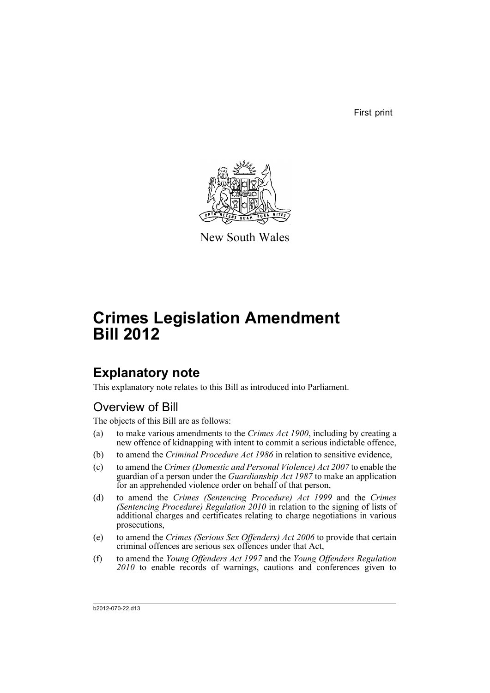First print



New South Wales

# **Crimes Legislation Amendment Bill 2012**

## **Explanatory note**

This explanatory note relates to this Bill as introduced into Parliament.

## Overview of Bill

The objects of this Bill are as follows:

- (a) to make various amendments to the *Crimes Act 1900*, including by creating a new offence of kidnapping with intent to commit a serious indictable offence,
- (b) to amend the *Criminal Procedure Act 1986* in relation to sensitive evidence,
- (c) to amend the *Crimes (Domestic and Personal Violence) Act 2007* to enable the guardian of a person under the *Guardianship Act 1987* to make an application for an apprehended violence order on behalf of that person,
- (d) to amend the *Crimes (Sentencing Procedure) Act 1999* and the *Crimes (Sentencing Procedure) Regulation 2010* in relation to the signing of lists of additional charges and certificates relating to charge negotiations in various prosecutions,
- (e) to amend the *Crimes (Serious Sex Offenders) Act 2006* to provide that certain criminal offences are serious sex offences under that Act,
- (f) to amend the *Young Offenders Act 1997* and the *Young Offenders Regulation 2010* to enable records of warnings, cautions and conferences given to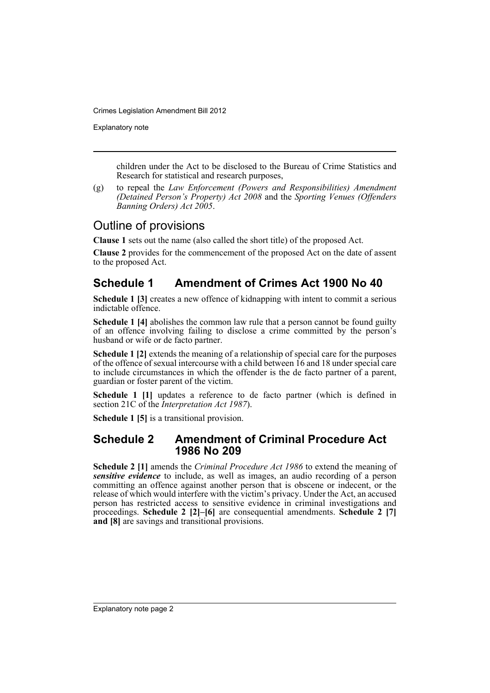Explanatory note

children under the Act to be disclosed to the Bureau of Crime Statistics and Research for statistical and research purposes,

(g) to repeal the *Law Enforcement (Powers and Responsibilities) Amendment (Detained Person's Property) Act 2008* and the *Sporting Venues (Offenders Banning Orders) Act 2005*.

## Outline of provisions

**Clause 1** sets out the name (also called the short title) of the proposed Act.

**Clause 2** provides for the commencement of the proposed Act on the date of assent to the proposed Act.

## **Schedule 1 Amendment of Crimes Act 1900 No 40**

**Schedule 1 [3]** creates a new offence of kidnapping with intent to commit a serious indictable offence.

**Schedule 1 [4]** abolishes the common law rule that a person cannot be found guilty of an offence involving failing to disclose a crime committed by the person's husband or wife or de facto partner.

**Schedule 1 [2]** extends the meaning of a relationship of special care for the purposes of the offence of sexual intercourse with a child between 16 and 18 under special care to include circumstances in which the offender is the de facto partner of a parent, guardian or foster parent of the victim.

**Schedule 1 [1]** updates a reference to de facto partner (which is defined in section 21C of the *Interpretation Act 1987*).

**Schedule 1 [5]** is a transitional provision.

### **Schedule 2 Amendment of Criminal Procedure Act 1986 No 209**

**Schedule 2 [1]** amends the *Criminal Procedure Act 1986* to extend the meaning of *sensitive evidence* to include, as well as images, an audio recording of a person committing an offence against another person that is obscene or indecent, or the release of which would interfere with the victim's privacy. Under the Act, an accused person has restricted access to sensitive evidence in criminal investigations and proceedings. **Schedule 2 [2]–[6]** are consequential amendments. **Schedule 2 [7] and [8]** are savings and transitional provisions.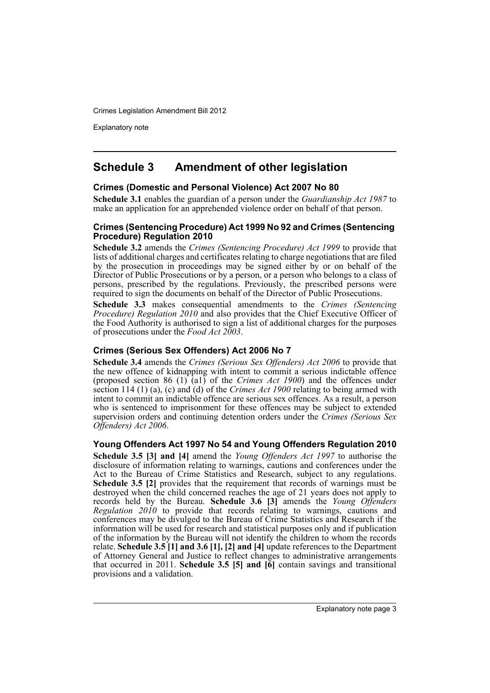Explanatory note

## **Schedule 3 Amendment of other legislation**

### **Crimes (Domestic and Personal Violence) Act 2007 No 80**

**Schedule 3.1** enables the guardian of a person under the *Guardianship Act 1987* to make an application for an apprehended violence order on behalf of that person.

#### **Crimes (Sentencing Procedure) Act 1999 No 92 and Crimes (Sentencing Procedure) Regulation 2010**

**Schedule 3.2** amends the *Crimes (Sentencing Procedure) Act 1999* to provide that lists of additional charges and certificates relating to charge negotiations that are filed by the prosecution in proceedings may be signed either by or on behalf of the Director of Public Prosecutions or by a person, or a person who belongs to a class of persons, prescribed by the regulations. Previously, the prescribed persons were required to sign the documents on behalf of the Director of Public Prosecutions.

**Schedule 3.3** makes consequential amendments to the *Crimes (Sentencing Procedure) Regulation 2010* and also provides that the Chief Executive Officer of the Food Authority is authorised to sign a list of additional charges for the purposes of prosecutions under the *Food Act 2003*.

### **Crimes (Serious Sex Offenders) Act 2006 No 7**

**Schedule 3.4** amends the *Crimes (Serious Sex Offenders) Act 2006* to provide that the new offence of kidnapping with intent to commit a serious indictable offence (proposed section 86 (1) (a1) of the *Crimes Act 1900*) and the offences under section 114 (1) (a), (c) and (d) of the *Crimes Act 1900* relating to being armed with intent to commit an indictable offence are serious sex offences. As a result, a person who is sentenced to imprisonment for these offences may be subject to extended supervision orders and continuing detention orders under the *Crimes (Serious Sex Offenders) Act 2006*.

### **Young Offenders Act 1997 No 54 and Young Offenders Regulation 2010**

**Schedule 3.5 [3] and [4]** amend the *Young Offenders Act 1997* to authorise the disclosure of information relating to warnings, cautions and conferences under the Act to the Bureau of Crime Statistics and Research, subject to any regulations. **Schedule 3.5 [2]** provides that the requirement that records of warnings must be destroyed when the child concerned reaches the age of 21 years does not apply to records held by the Bureau. **Schedule 3.6 [3]** amends the *Young Offenders Regulation 2010* to provide that records relating to warnings, cautions and conferences may be divulged to the Bureau of Crime Statistics and Research if the information will be used for research and statistical purposes only and if publication of the information by the Bureau will not identify the children to whom the records relate. **Schedule 3.5 [1] and 3.6 [1], [2] and [4]** update references to the Department of Attorney General and Justice to reflect changes to administrative arrangements that occurred in 2011. **Schedule 3.5 [5] and [6]** contain savings and transitional provisions and a validation.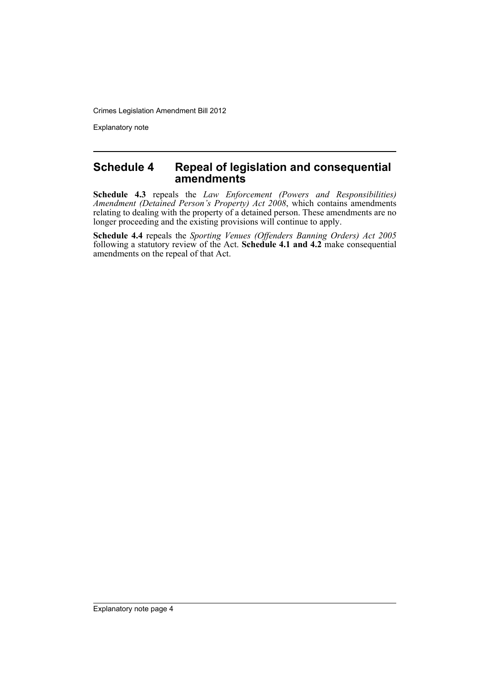Explanatory note

### **Schedule 4 Repeal of legislation and consequential amendments**

**Schedule 4.3** repeals the *Law Enforcement (Powers and Responsibilities) Amendment (Detained Person's Property) Act 2008*, which contains amendments relating to dealing with the property of a detained person. These amendments are no longer proceeding and the existing provisions will continue to apply.

**Schedule 4.4** repeals the *Sporting Venues (Offenders Banning Orders) Act 2005* following a statutory review of the Act. **Schedule 4.1 and 4.2** make consequential amendments on the repeal of that Act.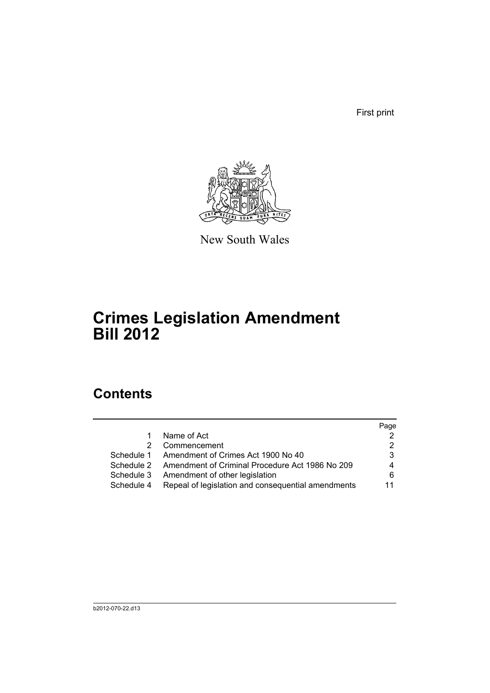First print



New South Wales

## **Crimes Legislation Amendment Bill 2012**

## **Contents**

|            |                                                    | Page |
|------------|----------------------------------------------------|------|
| 1          | Name of Act                                        |      |
| 2          | Commencement                                       |      |
| Schedule 1 | Amendment of Crimes Act 1900 No 40                 | 3    |
| Schedule 2 | Amendment of Criminal Procedure Act 1986 No 209    | 4    |
| Schedule 3 | Amendment of other legislation                     | 6    |
| Schedule 4 | Repeal of legislation and consequential amendments | 11   |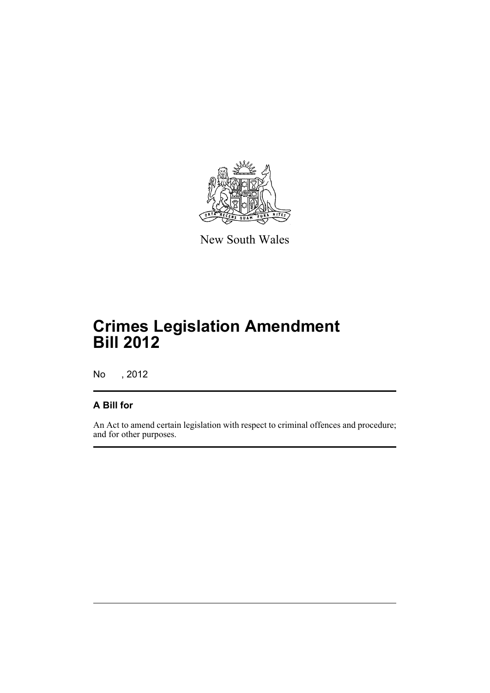

New South Wales

## **Crimes Legislation Amendment Bill 2012**

No , 2012

### **A Bill for**

An Act to amend certain legislation with respect to criminal offences and procedure; and for other purposes.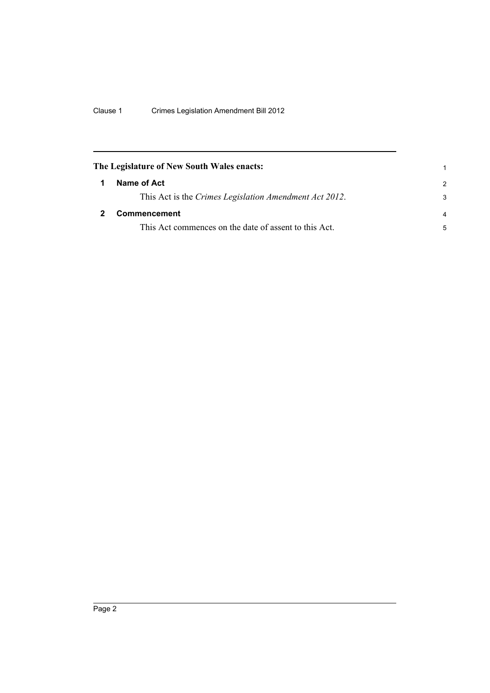<span id="page-7-1"></span><span id="page-7-0"></span>

| The Legislature of New South Wales enacts: |                                                        |                |
|--------------------------------------------|--------------------------------------------------------|----------------|
| 1                                          | Name of Act                                            | $\mathcal{P}$  |
|                                            | This Act is the Crimes Legislation Amendment Act 2012. | 3              |
|                                            | <b>Commencement</b>                                    | $\overline{a}$ |
|                                            | This Act commences on the date of assent to this Act.  | 5              |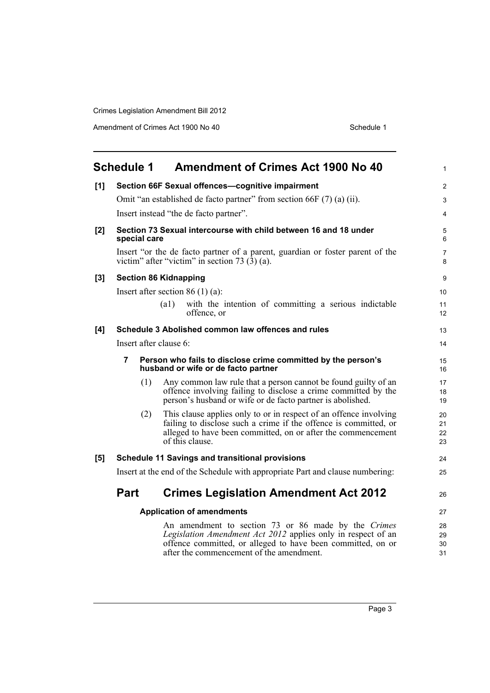Amendment of Crimes Act 1900 No 40 Schedule 1

<span id="page-8-0"></span>

|       | <b>Schedule 1</b>      | <b>Amendment of Crimes Act 1900 No 40</b>                                                                                                                                                                                      | $\mathbf{1}$         |
|-------|------------------------|--------------------------------------------------------------------------------------------------------------------------------------------------------------------------------------------------------------------------------|----------------------|
| [1]   |                        | Section 66F Sexual offences-cognitive impairment                                                                                                                                                                               | $\overline{2}$       |
|       |                        | Omit "an established de facto partner" from section 66F (7) (a) (ii).                                                                                                                                                          | 3                    |
|       |                        | Insert instead "the de facto partner".                                                                                                                                                                                         | 4                    |
| $[2]$ | special care           | Section 73 Sexual intercourse with child between 16 and 18 under                                                                                                                                                               | 5<br>6               |
|       |                        | Insert "or the de facto partner of a parent, guardian or foster parent of the<br>victim" after "victim" in section 73 $(3)$ (a).                                                                                               | $\overline{7}$<br>8  |
| $[3]$ |                        | <b>Section 86 Kidnapping</b>                                                                                                                                                                                                   | 9                    |
|       |                        | Insert after section 86 $(1)$ (a):                                                                                                                                                                                             | 10                   |
|       |                        | (a1)<br>with the intention of committing a serious indictable<br>offence, or                                                                                                                                                   | 11<br>12             |
| [4]   |                        | Schedule 3 Abolished common law offences and rules                                                                                                                                                                             | 13                   |
|       | Insert after clause 6: |                                                                                                                                                                                                                                | 14                   |
|       | 7                      | Person who fails to disclose crime committed by the person's<br>husband or wife or de facto partner                                                                                                                            | 15<br>16             |
|       | (1)                    | Any common law rule that a person cannot be found guilty of an<br>offence involving failing to disclose a crime committed by the<br>person's husband or wife or de facto partner is abolished.                                 | 17<br>18<br>19       |
|       | (2)                    | This clause applies only to or in respect of an offence involving<br>failing to disclose such a crime if the offence is committed, or<br>alleged to have been committed, on or after the commencement<br>of this clause.       | 20<br>21<br>22<br>23 |
| [5]   |                        | <b>Schedule 11 Savings and transitional provisions</b>                                                                                                                                                                         | 24                   |
|       |                        | Insert at the end of the Schedule with appropriate Part and clause numbering:                                                                                                                                                  | 25                   |
|       | <b>Part</b>            | <b>Crimes Legislation Amendment Act 2012</b>                                                                                                                                                                                   | 26                   |
|       |                        | <b>Application of amendments</b>                                                                                                                                                                                               | 27                   |
|       |                        | An amendment to section 73 or 86 made by the Crimes<br>Legislation Amendment Act 2012 applies only in respect of an<br>offence committed, or alleged to have been committed, on or<br>after the commencement of the amendment. | 28<br>29<br>30<br>31 |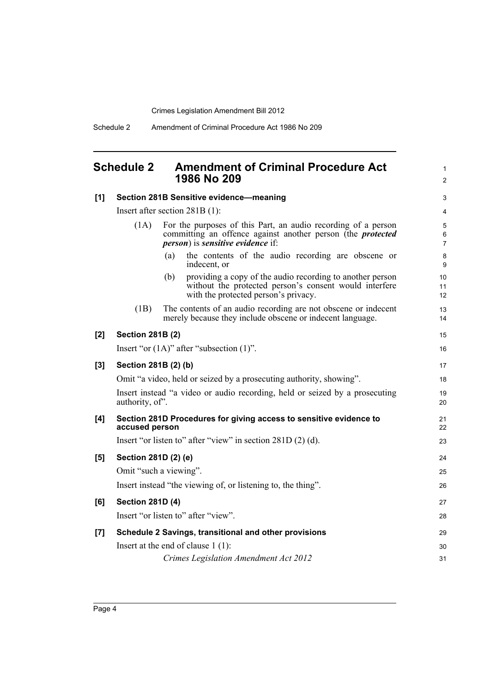Schedule 2 Amendment of Criminal Procedure Act 1986 No 209

## <span id="page-9-0"></span>**Schedule 2 Amendment of Criminal Procedure Act 1986 No 209**

1 2

| Section 281B Sensitive evidence-meaning |                                                                                                                                                                                         |                                                                                                                                                                                                                                                                                                                                                                                                                                                                                                                                                                                                                                                                                                                         |
|-----------------------------------------|-----------------------------------------------------------------------------------------------------------------------------------------------------------------------------------------|-------------------------------------------------------------------------------------------------------------------------------------------------------------------------------------------------------------------------------------------------------------------------------------------------------------------------------------------------------------------------------------------------------------------------------------------------------------------------------------------------------------------------------------------------------------------------------------------------------------------------------------------------------------------------------------------------------------------------|
| Insert after section $281B(1)$ :        |                                                                                                                                                                                         |                                                                                                                                                                                                                                                                                                                                                                                                                                                                                                                                                                                                                                                                                                                         |
| (1A)                                    | For the purposes of this Part, an audio recording of a person<br>committing an offence against another person (the <i>protected</i><br><i>person</i> ) is <i>sensitive evidence</i> if: | $\sqrt{5}$<br>$\,6\,$<br>$\overline{7}$                                                                                                                                                                                                                                                                                                                                                                                                                                                                                                                                                                                                                                                                                 |
|                                         | the contents of the audio recording are obscene or<br>(a)<br>indecent, or                                                                                                               | $\bf 8$<br>9                                                                                                                                                                                                                                                                                                                                                                                                                                                                                                                                                                                                                                                                                                            |
|                                         | providing a copy of the audio recording to another person<br>(b)<br>without the protected person's consent would interfere<br>with the protected person's privacy.                      | 10<br>11<br>12                                                                                                                                                                                                                                                                                                                                                                                                                                                                                                                                                                                                                                                                                                          |
| (1B)                                    | The contents of an audio recording are not obscene or indecent<br>merely because they include obscene or indecent language.                                                             | 13<br>14                                                                                                                                                                                                                                                                                                                                                                                                                                                                                                                                                                                                                                                                                                                |
|                                         |                                                                                                                                                                                         | 15                                                                                                                                                                                                                                                                                                                                                                                                                                                                                                                                                                                                                                                                                                                      |
|                                         |                                                                                                                                                                                         | 16                                                                                                                                                                                                                                                                                                                                                                                                                                                                                                                                                                                                                                                                                                                      |
|                                         |                                                                                                                                                                                         | 17                                                                                                                                                                                                                                                                                                                                                                                                                                                                                                                                                                                                                                                                                                                      |
|                                         |                                                                                                                                                                                         | 18                                                                                                                                                                                                                                                                                                                                                                                                                                                                                                                                                                                                                                                                                                                      |
|                                         |                                                                                                                                                                                         | 19<br>20                                                                                                                                                                                                                                                                                                                                                                                                                                                                                                                                                                                                                                                                                                                |
|                                         |                                                                                                                                                                                         | 21<br>22                                                                                                                                                                                                                                                                                                                                                                                                                                                                                                                                                                                                                                                                                                                |
|                                         |                                                                                                                                                                                         | 23                                                                                                                                                                                                                                                                                                                                                                                                                                                                                                                                                                                                                                                                                                                      |
|                                         |                                                                                                                                                                                         | 24                                                                                                                                                                                                                                                                                                                                                                                                                                                                                                                                                                                                                                                                                                                      |
|                                         |                                                                                                                                                                                         | 25                                                                                                                                                                                                                                                                                                                                                                                                                                                                                                                                                                                                                                                                                                                      |
|                                         |                                                                                                                                                                                         | 26                                                                                                                                                                                                                                                                                                                                                                                                                                                                                                                                                                                                                                                                                                                      |
|                                         |                                                                                                                                                                                         | 27                                                                                                                                                                                                                                                                                                                                                                                                                                                                                                                                                                                                                                                                                                                      |
|                                         |                                                                                                                                                                                         | 28                                                                                                                                                                                                                                                                                                                                                                                                                                                                                                                                                                                                                                                                                                                      |
|                                         |                                                                                                                                                                                         | 29                                                                                                                                                                                                                                                                                                                                                                                                                                                                                                                                                                                                                                                                                                                      |
|                                         |                                                                                                                                                                                         | 30                                                                                                                                                                                                                                                                                                                                                                                                                                                                                                                                                                                                                                                                                                                      |
|                                         | Crimes Legislation Amendment Act 2012                                                                                                                                                   | 31                                                                                                                                                                                                                                                                                                                                                                                                                                                                                                                                                                                                                                                                                                                      |
|                                         |                                                                                                                                                                                         | <b>Section 281B (2)</b><br>Insert "or $(1A)$ " after "subsection $(1)$ ".<br>Section 281B (2) (b)<br>Omit "a video, held or seized by a prosecuting authority, showing".<br>Insert instead "a video or audio recording, held or seized by a prosecuting<br>authority, of".<br>Section 281D Procedures for giving access to sensitive evidence to<br>accused person<br>Insert "or listen to" after "view" in section $281D(2)(d)$ .<br>Section 281D (2) (e)<br>Omit "such a viewing".<br>Insert instead "the viewing of, or listening to, the thing".<br><b>Section 281D (4)</b><br>Insert "or listen to" after "view".<br>Schedule 2 Savings, transitional and other provisions<br>Insert at the end of clause $1(1)$ : |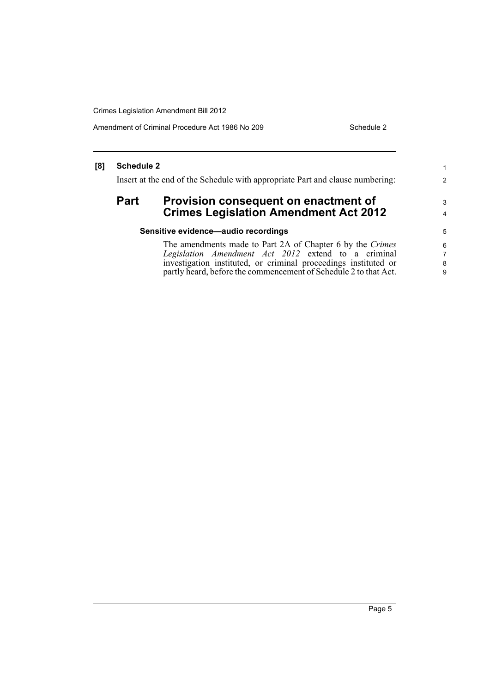Amendment of Criminal Procedure Act 1986 No 209 Schedule 2

1 2

3 4

### **[8] Schedule 2**

Insert at the end of the Schedule with appropriate Part and clause numbering:

### Part Provision consequent on enactment of **Crimes Legislation Amendment Act 2012**

### **Sensitive evidence—audio recordings**

The amendments made to Part 2A of Chapter 6 by the *Crimes Legislation Amendment Act 2012* extend to a criminal investigation instituted, or criminal proceedings instituted or partly heard, before the commencement of Schedule 2 to that Act.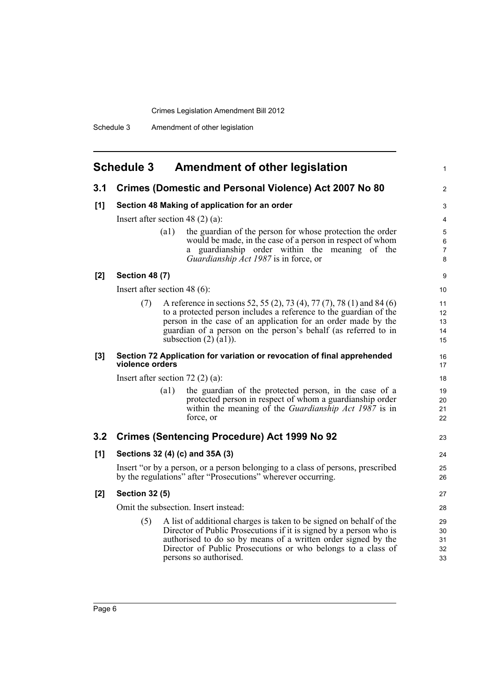<span id="page-11-0"></span>

|     | <b>Schedule 3</b>                             | <b>Amendment of other legislation</b>                                                                                                                                                                                                                                                                       |  |
|-----|-----------------------------------------------|-------------------------------------------------------------------------------------------------------------------------------------------------------------------------------------------------------------------------------------------------------------------------------------------------------------|--|
| 3.1 |                                               | <b>Crimes (Domestic and Personal Violence) Act 2007 No 80</b>                                                                                                                                                                                                                                               |  |
| [1] | Section 48 Making of application for an order |                                                                                                                                                                                                                                                                                                             |  |
|     |                                               | Insert after section 48 $(2)$ (a):                                                                                                                                                                                                                                                                          |  |
|     |                                               | the guardian of the person for whose protection the order<br>(a1)<br>would be made, in the case of a person in respect of whom<br>a guardianship order within the meaning of the<br>Guardianship Act 1987 is in force, or                                                                                   |  |
| [2] | <b>Section 48 (7)</b>                         |                                                                                                                                                                                                                                                                                                             |  |
|     |                                               | Insert after section 48 $(6)$ :                                                                                                                                                                                                                                                                             |  |
|     | (7)                                           | A reference in sections 52, 55 (2), 73 (4), 77 (7), 78 (1) and 84 (6)<br>to a protected person includes a reference to the guardian of the<br>person in the case of an application for an order made by the<br>guardian of a person on the person's behalf (as referred to in<br>subsection $(2)$ $(a1)$ ). |  |
| [3] | violence orders                               | Section 72 Application for variation or revocation of final apprehended                                                                                                                                                                                                                                     |  |
|     |                                               | Insert after section $72(2)(a)$ :                                                                                                                                                                                                                                                                           |  |
|     |                                               | the guardian of the protected person, in the case of a<br>$\left( a1\right)$<br>protected person in respect of whom a guardianship order<br>within the meaning of the <i>Guardianship Act 1987</i> is in<br>force, or                                                                                       |  |
| 3.2 |                                               | <b>Crimes (Sentencing Procedure) Act 1999 No 92</b>                                                                                                                                                                                                                                                         |  |
| [1] |                                               | Sections 32 (4) (c) and 35A (3)                                                                                                                                                                                                                                                                             |  |
|     |                                               | Insert "or by a person, or a person belonging to a class of persons, prescribed<br>by the regulations" after "Prosecutions" wherever occurring.                                                                                                                                                             |  |
| [2] | <b>Section 32 (5)</b>                         |                                                                                                                                                                                                                                                                                                             |  |
|     |                                               | Omit the subsection. Insert instead:                                                                                                                                                                                                                                                                        |  |
|     | (5)                                           | A list of additional charges is taken to be signed on behalf of the<br>Director of Public Prosecutions if it is signed by a person who is<br>authorised to do so by means of a written order signed by the<br>Director of Public Prosecutions or who belongs to a class of<br>persons so authorised.        |  |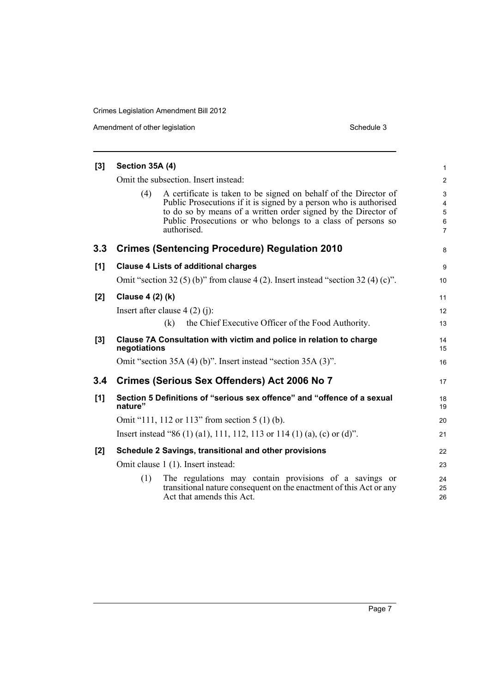Amendment of other legislation Schedule 3

| $[3]$ | Section 35A (4)  |                                                                                                                                                                                                                                                                                       |                                                                    |
|-------|------------------|---------------------------------------------------------------------------------------------------------------------------------------------------------------------------------------------------------------------------------------------------------------------------------------|--------------------------------------------------------------------|
|       |                  | Omit the subsection. Insert instead:                                                                                                                                                                                                                                                  | $\overline{2}$                                                     |
|       | (4)              | A certificate is taken to be signed on behalf of the Director of<br>Public Prosecutions if it is signed by a person who is authorised<br>to do so by means of a written order signed by the Director of<br>Public Prosecutions or who belongs to a class of persons so<br>authorised. | 3<br>$\overline{4}$<br>$\overline{5}$<br>$\,6\,$<br>$\overline{7}$ |
| 3.3   |                  | <b>Crimes (Sentencing Procedure) Regulation 2010</b>                                                                                                                                                                                                                                  | 8                                                                  |
| [1]   |                  | <b>Clause 4 Lists of additional charges</b>                                                                                                                                                                                                                                           | $\boldsymbol{9}$                                                   |
|       |                  | Omit "section 32 (5) (b)" from clause 4 (2). Insert instead "section 32 (4) (c)".                                                                                                                                                                                                     | 10                                                                 |
| [2]   | Clause 4 (2) (k) |                                                                                                                                                                                                                                                                                       | 11                                                                 |
|       |                  | Insert after clause $4(2)(i)$ :                                                                                                                                                                                                                                                       | 12                                                                 |
|       |                  | the Chief Executive Officer of the Food Authority.<br>(k)                                                                                                                                                                                                                             | 13                                                                 |
| [3]   | negotiations     | Clause 7A Consultation with victim and police in relation to charge                                                                                                                                                                                                                   | 14<br>15                                                           |
|       |                  | Omit "section 35A (4) (b)". Insert instead "section 35A (3)".                                                                                                                                                                                                                         | 16                                                                 |
| 3.4   |                  | Crimes (Serious Sex Offenders) Act 2006 No 7                                                                                                                                                                                                                                          | 17                                                                 |
| [1]   | nature"          | Section 5 Definitions of "serious sex offence" and "offence of a sexual                                                                                                                                                                                                               | 18<br>19                                                           |
|       |                  | Omit "111, 112 or 113" from section 5 (1) (b).                                                                                                                                                                                                                                        | 20                                                                 |
|       |                  | Insert instead "86 (1) (a1), 111, 112, 113 or 114 (1) (a), (c) or (d)".                                                                                                                                                                                                               | 21                                                                 |
| [2]   |                  | Schedule 2 Savings, transitional and other provisions                                                                                                                                                                                                                                 | 22                                                                 |
|       |                  | Omit clause 1 (1). Insert instead:                                                                                                                                                                                                                                                    | 23                                                                 |
|       | (1)              | The regulations may contain provisions of a savings or<br>transitional nature consequent on the enactment of this Act or any<br>Act that amends this Act.                                                                                                                             | 24<br>25<br>26                                                     |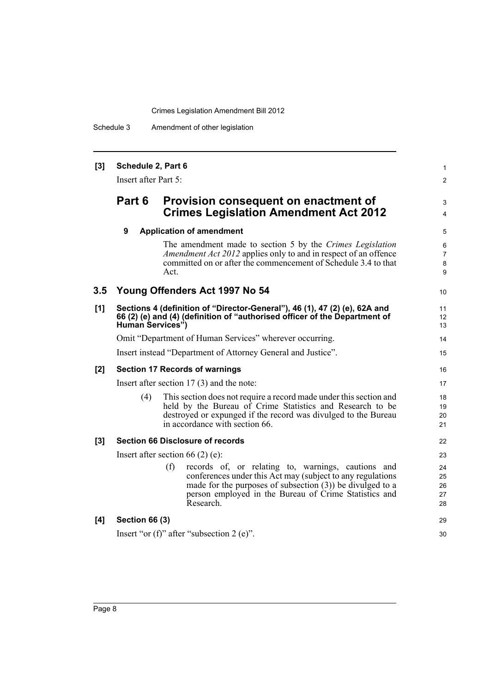Schedule 3 Amendment of other legislation

#### **[3] Schedule 2, Part 6** Insert after Part 5: **Part 6 Provision consequent on enactment of Crimes Legislation Amendment Act 2012 9 Application of amendment** The amendment made to section 5 by the *Crimes Legislation Amendment Act 2012* applies only to and in respect of an offence committed on or after the commencement of Schedule 3.4 to that Act. **3.5 Young Offenders Act 1997 No 54 [1] Sections 4 (definition of "Director-General"), 46 (1), 47 (2) (e), 62A and 66 (2) (e) and (4) (definition of "authorised officer of the Department of Human Services")** Omit "Department of Human Services" wherever occurring. Insert instead "Department of Attorney General and Justice". **[2] Section 17 Records of warnings** Insert after section 17 (3) and the note: (4) This section does not require a record made under this section and held by the Bureau of Crime Statistics and Research to be destroyed or expunged if the record was divulged to the Bureau in accordance with section 66. **[3] Section 66 Disclosure of records** Insert after section 66 (2) (e): (f) records of, or relating to, warnings, cautions and conferences under this Act may (subject to any regulations made for the purposes of subsection (3)) be divulged to a person employed in the Bureau of Crime Statistics and Research. **[4] Section 66 (3)** Insert "or (f)" after "subsection 2 (e)". 1  $\mathfrak{p}$ 3 4 5 6 7 8 9 10 11 12 13 14 15 16 17 18 19 20 21 22 23  $24$ 25 26 27 28 29 30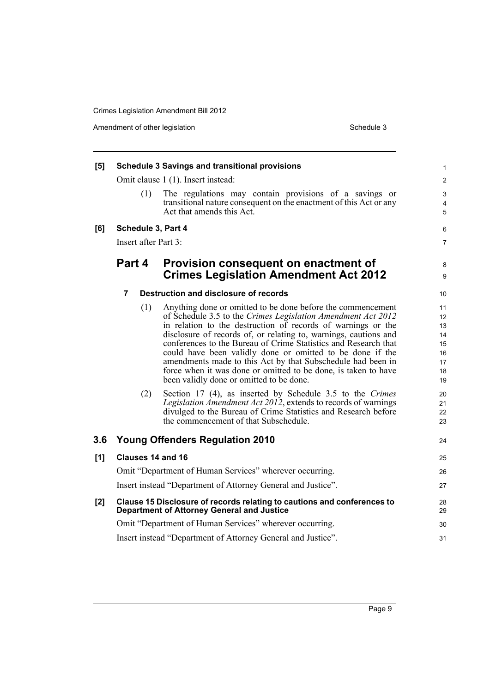Amendment of other legislation Schedule 3

| [5]              |                      | <b>Schedule 3 Savings and transitional provisions</b>                                                                                                                                                                                                                                                                                                                                                                                                                                                                                                                                                                                                                                                                                                                                                                  | 1                                                                          |
|------------------|----------------------|------------------------------------------------------------------------------------------------------------------------------------------------------------------------------------------------------------------------------------------------------------------------------------------------------------------------------------------------------------------------------------------------------------------------------------------------------------------------------------------------------------------------------------------------------------------------------------------------------------------------------------------------------------------------------------------------------------------------------------------------------------------------------------------------------------------------|----------------------------------------------------------------------------|
|                  |                      | Omit clause 1 (1). Insert instead:                                                                                                                                                                                                                                                                                                                                                                                                                                                                                                                                                                                                                                                                                                                                                                                     | $\overline{c}$                                                             |
|                  | (1)                  | The regulations may contain provisions of a savings or<br>transitional nature consequent on the enactment of this Act or any<br>Act that amends this Act.                                                                                                                                                                                                                                                                                                                                                                                                                                                                                                                                                                                                                                                              | 3<br>4<br>5                                                                |
| [6]              | Schedule 3, Part 4   |                                                                                                                                                                                                                                                                                                                                                                                                                                                                                                                                                                                                                                                                                                                                                                                                                        | 6                                                                          |
|                  | Insert after Part 3: |                                                                                                                                                                                                                                                                                                                                                                                                                                                                                                                                                                                                                                                                                                                                                                                                                        | 7                                                                          |
|                  | Part 4               | Provision consequent on enactment of<br><b>Crimes Legislation Amendment Act 2012</b>                                                                                                                                                                                                                                                                                                                                                                                                                                                                                                                                                                                                                                                                                                                                   | 8<br>9                                                                     |
|                  | 7                    | Destruction and disclosure of records                                                                                                                                                                                                                                                                                                                                                                                                                                                                                                                                                                                                                                                                                                                                                                                  | 10                                                                         |
|                  | (1)<br>(2)           | Anything done or omitted to be done before the commencement<br>of Schedule 3.5 to the Crimes Legislation Amendment Act 2012<br>in relation to the destruction of records of warnings or the<br>disclosure of records of, or relating to, warnings, cautions and<br>conferences to the Bureau of Crime Statistics and Research that<br>could have been validly done or omitted to be done if the<br>amendments made to this Act by that Subschedule had been in<br>force when it was done or omitted to be done, is taken to have<br>been validly done or omitted to be done.<br>Section 17 (4), as inserted by Schedule 3.5 to the Crimes<br>Legislation Amendment Act 2012, extends to records of warnings<br>divulged to the Bureau of Crime Statistics and Research before<br>the commencement of that Subschedule. | 11<br>12<br>13<br>14<br>15<br>16<br>17<br>18<br>19<br>20<br>21<br>22<br>23 |
| 3.6 <sub>2</sub> |                      | <b>Young Offenders Regulation 2010</b>                                                                                                                                                                                                                                                                                                                                                                                                                                                                                                                                                                                                                                                                                                                                                                                 | 24                                                                         |
| [1]              | Clauses 14 and 16    |                                                                                                                                                                                                                                                                                                                                                                                                                                                                                                                                                                                                                                                                                                                                                                                                                        | 25                                                                         |
|                  |                      | Omit "Department of Human Services" wherever occurring.                                                                                                                                                                                                                                                                                                                                                                                                                                                                                                                                                                                                                                                                                                                                                                | 26                                                                         |
|                  |                      | Insert instead "Department of Attorney General and Justice".                                                                                                                                                                                                                                                                                                                                                                                                                                                                                                                                                                                                                                                                                                                                                           | 27                                                                         |
| [2]              |                      | Clause 15 Disclosure of records relating to cautions and conferences to<br><b>Department of Attorney General and Justice</b>                                                                                                                                                                                                                                                                                                                                                                                                                                                                                                                                                                                                                                                                                           | 28<br>29                                                                   |
|                  |                      | Omit "Department of Human Services" wherever occurring.                                                                                                                                                                                                                                                                                                                                                                                                                                                                                                                                                                                                                                                                                                                                                                | 30                                                                         |
|                  |                      | Insert instead "Department of Attorney General and Justice".                                                                                                                                                                                                                                                                                                                                                                                                                                                                                                                                                                                                                                                                                                                                                           | 31                                                                         |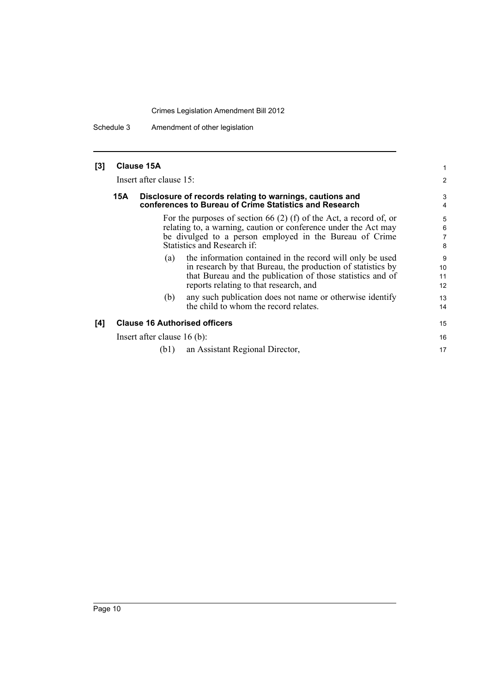Schedule 3 Amendment of other legislation

| $[3]$ | <b>Clause 15A</b> |  |
|-------|-------------------|--|
|-------|-------------------|--|

Insert after clause 15:

#### **15A Disclosure of records relating to warnings, cautions and conferences to Bureau of Crime Statistics and Research**

For the purposes of section 66 (2) (f) of the Act, a record of, or relating to, a warning, caution or conference under the Act may be divulged to a person employed in the Bureau of Crime Statistics and Research if:

(a) the information contained in the record will only be used in research by that Bureau, the production of statistics by that Bureau and the publication of those statistics and of reports relating to that research, and

15 16 17

(b) any such publication does not name or otherwise identify the child to whom the record relates.

### **[4] Clause 16 Authorised officers**

Insert after clause 16 (b):

(b1) an Assistant Regional Director,